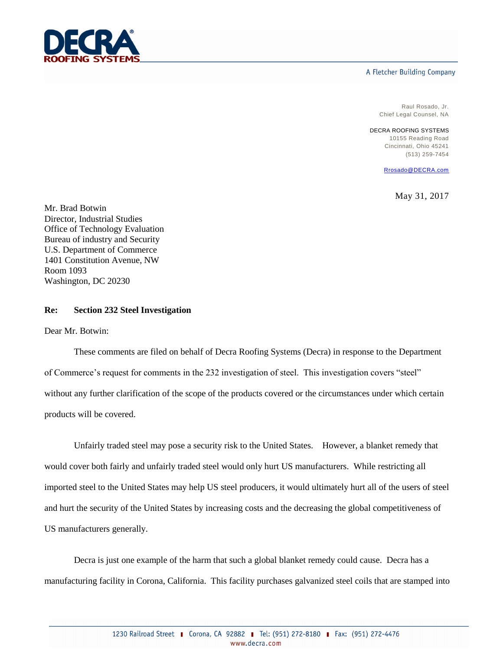

## A Fletcher Building Company

Raul Rosado, Jr. Chief Legal Counsel, NA

DECRA ROOFING SYSTEMS 10155 Reading Road Cincinnati, Ohio 45241 (513) 259-7454

[Rrosado@DECRA.com](mailto:Rrosado@DECRA.com)

May 31, 2017

Mr. Brad Botwin Director, Industrial Studies Office of Technology Evaluation Bureau of industry and Security U.S. Department of Commerce 1401 Constitution Avenue, NW Room 1093 Washington, DC 20230

## **Re: Section 232 Steel Investigation**

Dear Mr. Botwin:

These comments are filed on behalf of Decra Roofing Systems (Decra) in response to the Department of Commerce's request for comments in the 232 investigation of steel. This investigation covers "steel" without any further clarification of the scope of the products covered or the circumstances under which certain products will be covered.

Unfairly traded steel may pose a security risk to the United States. However, a blanket remedy that would cover both fairly and unfairly traded steel would only hurt US manufacturers. While restricting all imported steel to the United States may help US steel producers, it would ultimately hurt all of the users of steel and hurt the security of the United States by increasing costs and the decreasing the global competitiveness of US manufacturers generally.

Decra is just one example of the harm that such a global blanket remedy could cause. Decra has a manufacturing facility in Corona, California. This facility purchases galvanized steel coils that are stamped into